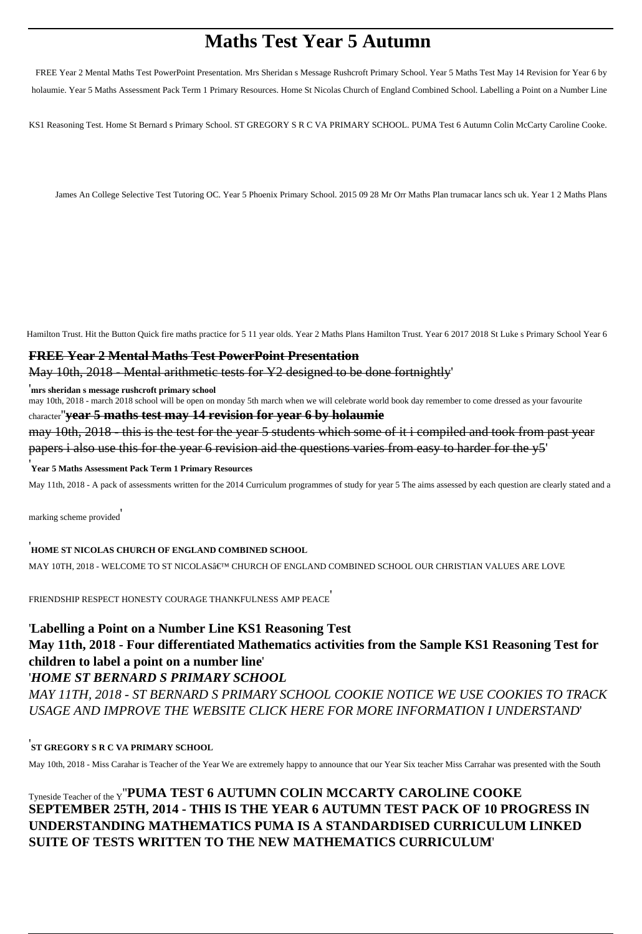# **Maths Test Year 5 Autumn**

FREE Year 2 Mental Maths Test PowerPoint Presentation. Mrs Sheridan s Message Rushcroft Primary School. Year 5 Maths Test May 14 Revision for Year 6 by holaumie. Year 5 Maths Assessment Pack Term 1 Primary Resources. Home St Nicolas Church of England Combined School. Labelling a Point on a Number Line

KS1 Reasoning Test. Home St Bernard s Primary School. ST GREGORY S R C VA PRIMARY SCHOOL. PUMA Test 6 Autumn Colin McCarty Caroline Cooke.

James An College Selective Test Tutoring OC. Year 5 Phoenix Primary School. 2015 09 28 Mr Orr Maths Plan trumacar lancs sch uk. Year 1 2 Maths Plans

Hamilton Trust. Hit the Button Quick fire maths practice for 5 11 year olds. Year 2 Maths Plans Hamilton Trust. Year 6 2017 2018 St Luke s Primary School Year 6

### **FREE Year 2 Mental Maths Test PowerPoint Presentation**

#### May 10th, 2018 - Mental arithmetic tests for Y2 designed to be done fortnightly'

'**mrs sheridan s message rushcroft primary school**

may 10th, 2018 - march 2018 school will be open on monday 5th march when we will celebrate world book day remember to come dressed as your favourite character''**year 5 maths test may 14 revision for year 6 by holaumie**

may 10th, 2018 - this is the test for the year 5 students which some of it i compiled and took from past year papers i also use this for the year 6 revision aid the questions varies from easy to harder for the y5'

#### '**Year 5 Maths Assessment Pack Term 1 Primary Resources**

May 11th, 2018 - A pack of assessments written for the 2014 Curriculum programmes of study for year 5 The aims assessed by each question are clearly stated and a

marking scheme provided'

## '**HOME ST NICOLAS CHURCH OF ENGLAND COMBINED SCHOOL**

MAY 10TH, 2018 - WELCOME TO ST NICOLAS' CHURCH OF ENGLAND COMBINED SCHOOL OUR CHRISTIAN VALUES ARE LOVE

FRIENDSHIP RESPECT HONESTY COURAGE THANKFULNESS AMP PEACE'

# '**Labelling a Point on a Number Line KS1 Reasoning Test**

**May 11th, 2018 - Four differentiated Mathematics activities from the Sample KS1 Reasoning Test for children to label a point on a number line**'

## '*HOME ST BERNARD S PRIMARY SCHOOL*

*MAY 11TH, 2018 - ST BERNARD S PRIMARY SCHOOL COOKIE NOTICE WE USE COOKIES TO TRACK USAGE AND IMPROVE THE WEBSITE CLICK HERE FOR MORE INFORMATION I UNDERSTAND*'

## '**ST GREGORY S R C VA PRIMARY SCHOOL**

May 10th, 2018 - Miss Carahar is Teacher of the Year We are extremely happy to announce that our Year Six teacher Miss Carrahar was presented with the South

## Tyneside Teacher of the Y''**PUMA TEST 6 AUTUMN COLIN MCCARTY CAROLINE COOKE SEPTEMBER 25TH, 2014 - THIS IS THE YEAR 6 AUTUMN TEST PACK OF 10 PROGRESS IN UNDERSTANDING MATHEMATICS PUMA IS A STANDARDISED CURRICULUM LINKED SUITE OF TESTS WRITTEN TO THE NEW MATHEMATICS CURRICULUM**'